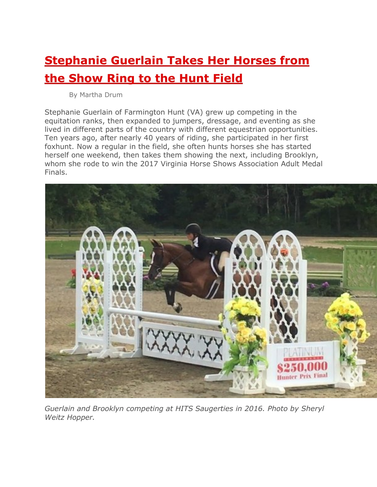## **Stephanie Guerlain Takes Her Horses from the Show Ring to the Hunt Field**

By Martha Drum

Stephanie Guerlain of Farmington Hunt (VA) grew up competing in the equitation ranks, then expanded to jumpers, dressage, and eventing as she lived in different parts of the country with different equestrian opportunities. Ten years ago, after nearly 40 years of riding, she participated in her first foxhunt. Now a regular in the field, she often hunts horses she has started herself one weekend, then takes them showing the next, including Brooklyn, whom she rode to win the 2017 Virginia Horse Shows Association Adult Medal Finals.



*Guerlain and Brooklyn competing at HITS Saugerties in 2016. Photo by Sheryl Weitz Hopper.*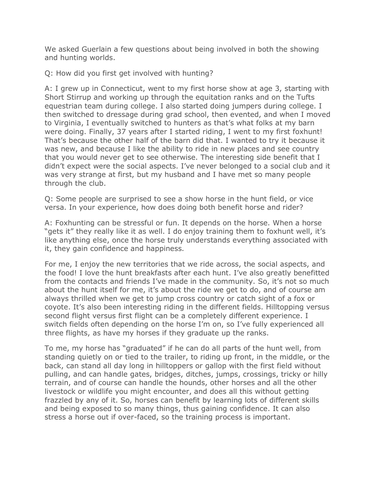We asked Guerlain a few questions about being involved in both the showing and hunting worlds.

Q: How did you first get involved with hunting?

A: I grew up in Connecticut, went to my first horse show at age 3, starting with Short Stirrup and working up through the equitation ranks and on the Tufts equestrian team during college. I also started doing jumpers during college. I then switched to dressage during grad school, then evented, and when I moved to Virginia, I eventually switched to hunters as that's what folks at my barn were doing. Finally, 37 years after I started riding, I went to my first foxhunt! That's because the other half of the barn did that. I wanted to try it because it was new, and because I like the ability to ride in new places and see country that you would never get to see otherwise. The interesting side benefit that I didn't expect were the social aspects. I've never belonged to a social club and it was very strange at first, but my husband and I have met so many people through the club.

Q: Some people are surprised to see a show horse in the hunt field, or vice versa. In your experience, how does doing both benefit horse and rider?

A: Foxhunting can be stressful or fun. It depends on the horse. When a horse "gets it" they really like it as well. I do enjoy training them to foxhunt well, it's like anything else, once the horse truly understands everything associated with it, they gain confidence and happiness.

For me, I enjoy the new territories that we ride across, the social aspects, and the food! I love the hunt breakfasts after each hunt. I've also greatly benefitted from the contacts and friends I've made in the community. So, it's not so much about the hunt itself for me, it's about the ride we get to do, and of course am always thrilled when we get to jump cross country or catch sight of a fox or coyote. It's also been interesting riding in the different fields. Hilltopping versus second flight versus first flight can be a completely different experience. I switch fields often depending on the horse I'm on, so I've fully experienced all three flights, as have my horses if they graduate up the ranks.

To me, my horse has "graduated" if he can do all parts of the hunt well, from standing quietly on or tied to the trailer, to riding up front, in the middle, or the back, can stand all day long in hilltoppers or gallop with the first field without pulling, and can handle gates, bridges, ditches, jumps, crossings, tricky or hilly terrain, and of course can handle the hounds, other horses and all the other livestock or wildlife you might encounter, and does all this without getting frazzled by any of it. So, horses can benefit by learning lots of different skills and being exposed to so many things, thus gaining confidence. It can also stress a horse out if over-faced, so the training process is important.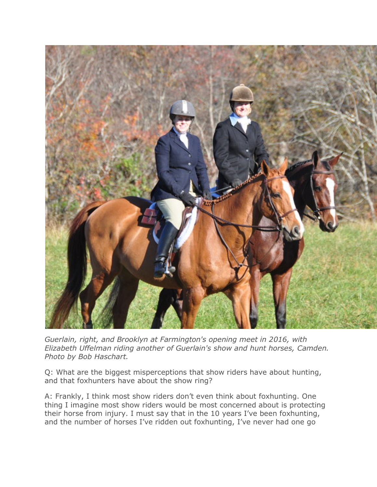

*Guerlain, right, and Brooklyn at Farmington's opening meet in 2016, with Elizabeth Uffelman riding another of Guerlain's show and hunt horses, Camden. Photo by Bob Haschart.*

Q: What are the biggest misperceptions that show riders have about hunting, and that foxhunters have about the show ring?

A: Frankly, I think most show riders don't even think about foxhunting. One thing I imagine most show riders would be most concerned about is protecting their horse from injury. I must say that in the 10 years I've been foxhunting, and the number of horses I've ridden out foxhunting, I've never had one go